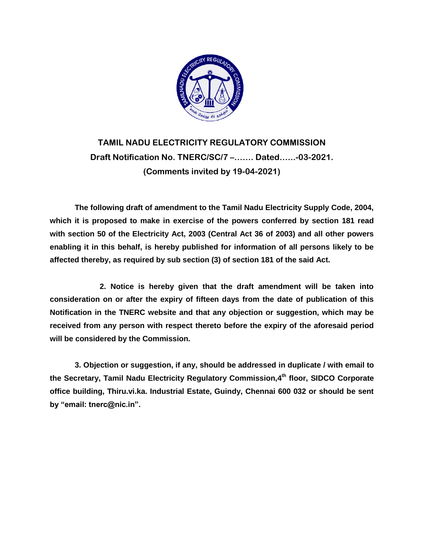

## **TAMIL NADU ELECTRICITY REGULATORY COMMISSION Draft Notification No. TNERC/SC/7 –……. Dated.…..-03-2021. (Comments invited by 19-04-2021)**

**The following draft of amendment to the Tamil Nadu Electricity Supply Code, 2004, which it is proposed to make in exercise of the powers conferred by section 181 read with section 50 of the Electricity Act, 2003 (Central Act 36 of 2003) and all other powers enabling it in this behalf, is hereby published for information of all persons likely to be affected thereby, as required by sub section (3) of section 181 of the said Act.**

**2. Notice is hereby given that the draft amendment will be taken into consideration on or after the expiry of fifteen days from the date of publication of this Notification in the TNERC website and that any objection or suggestion, which may be received from any person with respect thereto before the expiry of the aforesaid period will be considered by the Commission.**

**3. Objection or suggestion, if any, should be addressed in duplicate / with email to the Secretary, Tamil Nadu Electricity Regulatory Commission,4 th floor, SIDCO Corporate office building, Thiru.vi.ka. Industrial Estate, Guindy, Chennai 600 032 or should be sent by "email: tnerc@nic.in".**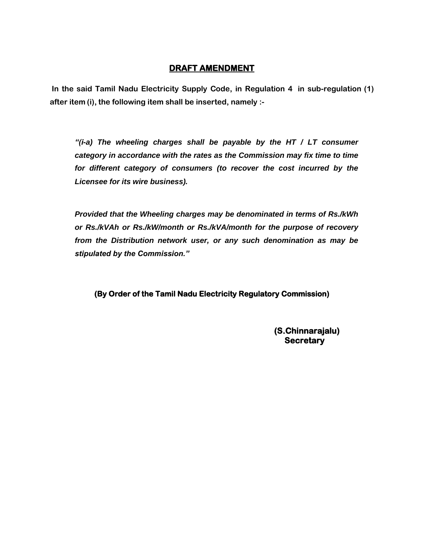## **DRAFT AMENDMENT**

**In the said Tamil Nadu Electricity Supply Code, in Regulation 4 in sub-regulation (1) after item (i), the following item shall be inserted, namely :-**

*"(i-a) The wheeling charges shall be payable by the HT / LT consumer category in accordance with the rates as the Commission may fix time to time for different category of consumers (to recover the cost incurred by the Licensee for its wire business).*

*Provided that the Wheeling charges may be denominated in terms of Rs./kWh or Rs./kVAh or Rs./kW/month or Rs./kVA/month for the purpose of recovery from the Distribution network user, or any such denomination as may be stipulated by the Commission."*

**(By Order of the Tamil Nadu Electricity Regulatory Commission)** 

**(S.Chinnarajalu) Secretary**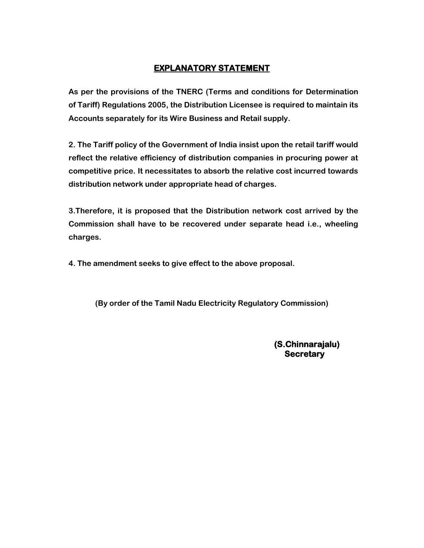## **EXPLANATORY STATEMENT**

**As per the provisions of the TNERC (Terms and conditions for Determination of Tariff) Regulations 2005, the Distribution Licensee is required to maintain its Accounts separately for its Wire Business and Retail supply.**

**2. The Tariff policy of the Government of India insist upon the retail tariff would reflect the relative efficiency of distribution companies in procuring power at competitive price. It necessitates to absorb the relative cost incurred towards distribution network under appropriate head of charges.**

**3.Therefore, it is proposed that the Distribution network cost arrived by the Commission shall have to be recovered under separate head i.e., wheeling charges.**

**4. The amendment seeks to give effect to the above proposal.**

**(By order of the Tamil Nadu Electricity Regulatory Commission)**

**(S.Chinnarajalu) Secretary**